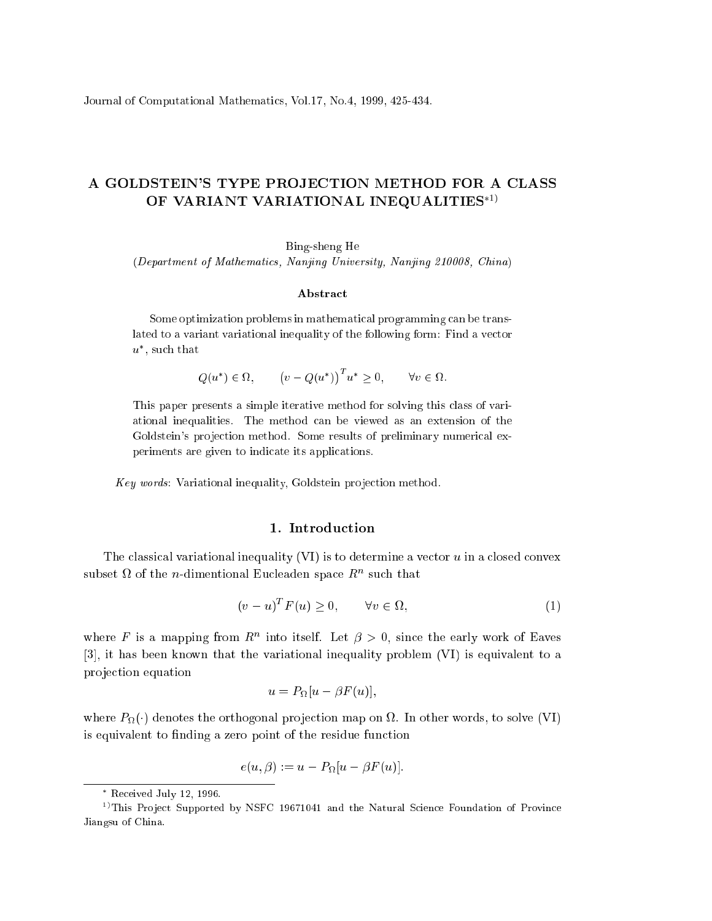Journal of Computational Mathemati
s, Vol.17, No.4, 1999, 425-434.

## A GOLDSTEIN'S TYPE PROJECTION METHOD FOR A CLASS OF VARIANT VARIATIONAL INEQUALITIES\*1)

Bing-sheng He

(Department of Mathemati
s, Nanjing University, Nanjing 210008, China)

## Abstra
t

Some optimization problems in mathematical programming can be translated to a variant variational inequality of the following form: Find a ve
tor  $u$  , such that

> $Q(u) \in M$ ,  $(v - Q(u^*))^T u^* > 0, \quad \forall v \in \Omega.$

This paper presents a simple iterative method for solving this lass of variational inequalities. The method an be viewed as an extension of the Goldstein's projection method. Some results of preliminary numerical experiments are given to indicate its applications.

Key words: Variational inequality, Goldstein projection method.

## 1. Introdu
tion

The classical variational inequality (VI) is to determine a vector  $u$  in a closed convex subset  $\Omega$  of the *n*-dimentional Eucleaden space  $R^n$  such that

$$
(v - u)^T F(u) \ge 0, \qquad \forall v \in \Omega,
$$
\n<sup>(1)</sup>

where F is a mapping from  $R^n$  into itself. Let  $\beta > 0$ , since the early work of Eaves  $[3]$ , it has been known that the variational inequality problem  $(VI)$  is equivalent to a projection equation

$$
u = P_{\Omega}[u - \beta F(u)],
$$

where  $P_{\Omega}(\cdot)$  denotes the orthogonal projection map on  $\Omega$ . In other words, to solve (VI) is equivalent to finding a zero point of the residue function

$$
e(u,\beta) := u - P_{\Omega}[u - \beta F(u)].
$$

Re
eived July 12, 1996.

<sup>&</sup>lt;sup>1)</sup>This Project Supported by NSFC 19671041 and the Natural Science Foundation of Province Jiangsu of China.